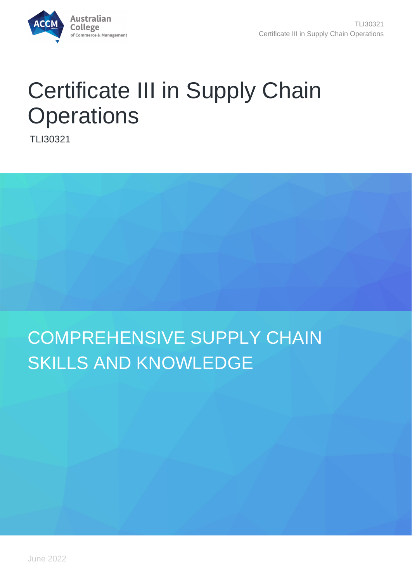

# Certificate III in Supply Chain **Operations**

TLI30321



# COMPREHENSIVE SUPPLY CHAIN SKILLS AND KNOWLEDGE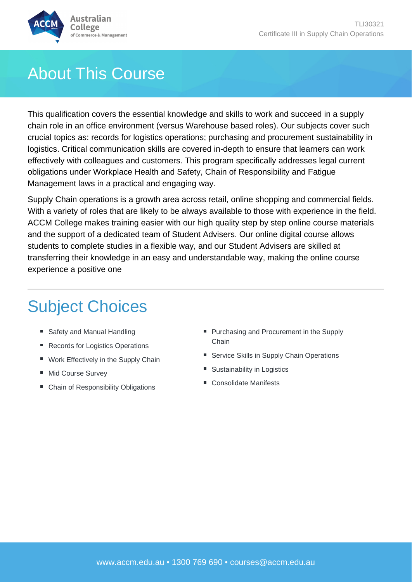

## About This Course

This qualification covers the essential knowledge and skills to work and succeed in a supply chain role in an office environment (versus Warehouse based roles). Our subjects cover such crucial topics as: records for logistics operations; purchasing and procurement sustainability in logistics. Critical communication skills are covered in-depth to ensure that learners can work effectively with colleagues and customers. This program specifically addresses legal current obligations under Workplace Health and Safety, Chain of Responsibility and Fatigue Management laws in a practical and engaging way.

Supply Chain operations is a growth area across retail, online shopping and commercial fields. With a variety of roles that are likely to be always available to those with experience in the field. ACCM College makes training easier with our high quality step by step online course materials and the support of a dedicated team of Student Advisers. Our online digital course allows students to complete studies in a flexible way, and our Student Advisers are skilled at transferring their knowledge in an easy and understandable way, making the online course experience a positive one

## Subject Choices

- Safety and Manual Handling
- Records for Logistics Operations
- Work Effectively in the Supply Chain
- Mid Course Survey
- Chain of Responsibility Obligations
- Purchasing and Procurement in the Supply **Chain**
- Service Skills in Supply Chain Operations
- Sustainability in Logistics
- Consolidate Manifests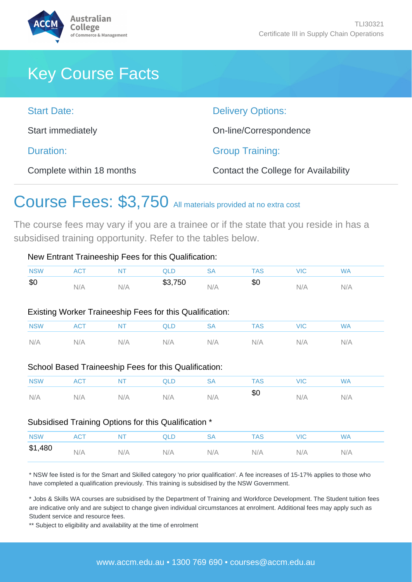

## Key Course Facts

| <b>Start Date:</b>        | <b>Delivery Options:</b>             |
|---------------------------|--------------------------------------|
| <b>Start immediately</b>  | On-line/Correspondence               |
| Duration:                 | <b>Group Training:</b>               |
| Complete within 18 months | Contact the College for Availability |

## Course Fees: \$3,750 All materials provided at no extra cost

The course fees may vary if you are a trainee or if the state that you reside in has a subsidised training opportunity. Refer to the tables below.

| New Entrant Traineeship Fees for this Qualification:     |            |           |            |           |            |            |           |  |  |
|----------------------------------------------------------|------------|-----------|------------|-----------|------------|------------|-----------|--|--|
| <b>NSW</b>                                               | <b>ACT</b> | <b>NT</b> | <b>QLD</b> | <b>SA</b> | <b>TAS</b> | <b>VIC</b> | <b>WA</b> |  |  |
| \$0                                                      | N/A        | N/A       | \$3,750    | N/A       | \$0        | N/A        | N/A       |  |  |
| Existing Worker Traineeship Fees for this Qualification: |            |           |            |           |            |            |           |  |  |
| <b>NSW</b>                                               | <b>ACT</b> | <b>NT</b> | <b>QLD</b> | <b>SA</b> | <b>TAS</b> | <b>VIC</b> | <b>WA</b> |  |  |
| N/A                                                      | N/A        | N/A       | N/A        | N/A       | N/A        | N/A        | N/A       |  |  |
| School Based Traineeship Fees for this Qualification:    |            |           |            |           |            |            |           |  |  |

| <b>NSW</b> | <b>NT</b> | ח וכ |     | <b>TAS</b> | √IC ∶ | WA  |
|------------|-----------|------|-----|------------|-------|-----|
| N/A        | N/A       | N/A  | N/A | PO.        | N/A   | N/A |

#### Subsidised Training Options for this Qualification \*

| <b>NSW</b> | AC:1 | <b>NT</b> | JLD |     | <b>TAS</b> | VIC | WA  |
|------------|------|-----------|-----|-----|------------|-----|-----|
| \$1,480    | N/A  | N/A       | N/A | N/A | N/A        | N/A | N/A |

\* NSW fee listed is for the Smart and Skilled category 'no prior qualification'. A fee increases of 15-17% applies to those who have completed a qualification previously. This training is subsidised by the NSW Government.

\* Jobs & Skills WA courses are subsidised by the Department of Training and Workforce Development. The Student tuition fees are indicative only and are subject to change given individual circumstances at enrolment. Additional fees may apply such as Student service and resource fees.

\*\* Subject to eligibility and availability at the time of enrolment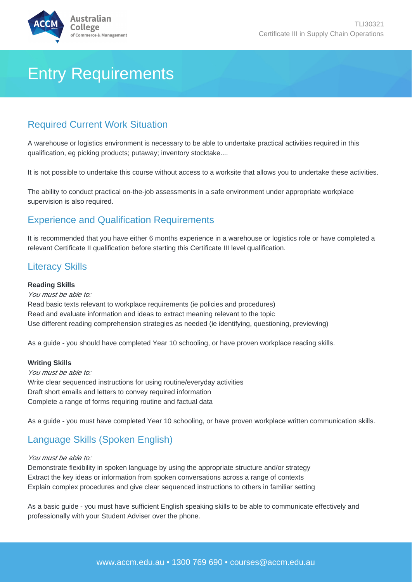

## Entry Requirements

### Required Current Work Situation

A warehouse or logistics environment is necessary to be able to undertake practical activities required in this qualification, eg picking products; putaway; inventory stocktake....

It is not possible to undertake this course without access to a worksite that allows you to undertake these activities.

The ability to conduct practical on-the-job assessments in a safe environment under appropriate workplace supervision is also required.

### Experience and Qualification Requirements

It is recommended that you have either 6 months experience in a warehouse or logistics role or have completed a relevant Certificate II qualification before starting this Certificate III level qualification.

#### Literacy Skills

#### **Reading Skills**

You must be able to: Read basic texts relevant to workplace requirements (ie policies and procedures) Read and evaluate information and ideas to extract meaning relevant to the topic Use different reading comprehension strategies as needed (ie identifying, questioning, previewing)

As a guide - you should have completed Year 10 schooling, or have proven workplace reading skills.

#### **Writing Skills**

You must be able to: Write clear sequenced instructions for using routine/everyday activities Draft short emails and letters to convey required information Complete a range of forms requiring routine and factual data

As a guide - you must have completed Year 10 schooling, or have proven workplace written communication skills.

### Language Skills (Spoken English)

#### You must be able to:

Demonstrate flexibility in spoken language by using the appropriate structure and/or strategy Extract the key ideas or information from spoken conversations across a range of contexts Explain complex procedures and give clear sequenced instructions to others in familiar setting

As a basic guide - you must have sufficient English speaking skills to be able to communicate effectively and professionally with your Student Adviser over the phone.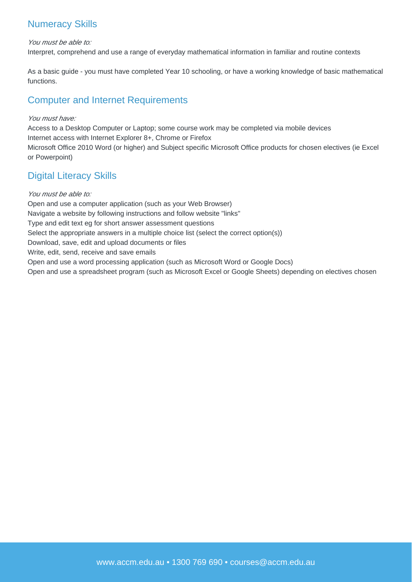#### Numeracy Skills

#### You must be able to:

Interpret, comprehend and use a range of everyday mathematical information in familiar and routine contexts

As a basic guide - you must have completed Year 10 schooling, or have a working knowledge of basic mathematical functions.

#### Computer and Internet Requirements

#### You must have:

Access to a Desktop Computer or Laptop; some course work may be completed via mobile devices Internet access with Internet Explorer 8+, Chrome or Firefox

Microsoft Office 2010 Word (or higher) and Subject specific Microsoft Office products for chosen electives (ie Excel or Powerpoint)

#### Digital Literacy Skills

#### You must be able to:

Open and use a computer application (such as your Web Browser) Navigate a website by following instructions and follow website "links" Type and edit text eg for short answer assessment questions Select the appropriate answers in a multiple choice list (select the correct option(s)) Download, save, edit and upload documents or files Write, edit, send, receive and save emails Open and use a word processing application (such as Microsoft Word or Google Docs) Open and use a spreadsheet program (such as Microsoft Excel or Google Sheets) depending on electives chosen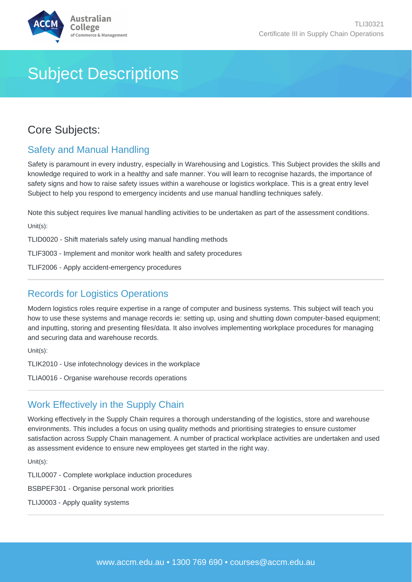

## Subject Descriptions

### Core Subjects:

### Safety and Manual Handling

Safety is paramount in every industry, especially in Warehousing and Logistics. This Subject provides the skills and knowledge required to work in a healthy and safe manner. You will learn to recognise hazards, the importance of safety signs and how to raise safety issues within a warehouse or logistics workplace. This is a great entry level Subject to help you respond to emergency incidents and use manual handling techniques safely.

Note this subject requires live manual handling activities to be undertaken as part of the assessment conditions.

Unit(s):

TLID0020 - Shift materials safely using manual handling methods

TLIF3003 - Implement and monitor work health and safety procedures

TLIF2006 - Apply accident-emergency procedures

### Records for Logistics Operations

Modern logistics roles require expertise in a range of computer and business systems. This subject will teach you how to use these systems and manage records ie: setting up, using and shutting down computer-based equipment; and inputting, storing and presenting files/data. It also involves implementing workplace procedures for managing and securing data and warehouse records.

Unit(s):

TLIK2010 - Use infotechnology devices in the workplace

TLIA0016 - Organise warehouse records operations

#### Work Effectively in the Supply Chain

Working effectively in the Supply Chain requires a thorough understanding of the logistics, store and warehouse environments. This includes a focus on using quality methods and prioritising strategies to ensure customer satisfaction across Supply Chain management. A number of practical workplace activities are undertaken and used as assessment evidence to ensure new employees get started in the right way.

Unit(s):

TLIL0007 - Complete workplace induction procedures

BSBPEF301 - Organise personal work priorities

TLIJ0003 - Apply quality systems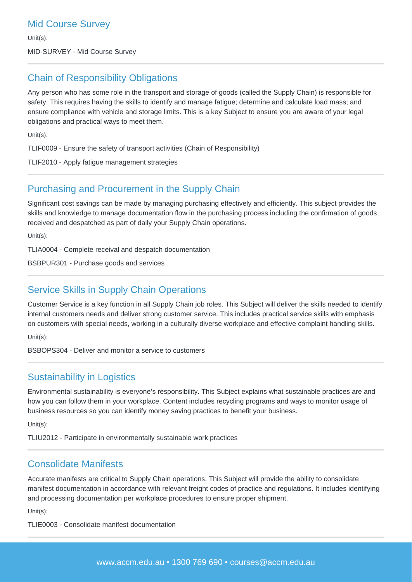#### Mid Course Survey

Unit(s):

MID-SURVEY - Mid Course Survey

#### Chain of Responsibility Obligations

Any person who has some role in the transport and storage of goods (called the Supply Chain) is responsible for safety. This requires having the skills to identify and manage fatigue; determine and calculate load mass; and ensure compliance with vehicle and storage limits. This is a key Subject to ensure you are aware of your legal obligations and practical ways to meet them.

Unit(s):

TLIF0009 - Ensure the safety of transport activities (Chain of Responsibility)

TLIF2010 - Apply fatigue management strategies

#### Purchasing and Procurement in the Supply Chain

Significant cost savings can be made by managing purchasing effectively and efficiently. This subject provides the skills and knowledge to manage documentation flow in the purchasing process including the confirmation of goods received and despatched as part of daily your Supply Chain operations.

Unit(s):

TLIA0004 - Complete receival and despatch documentation

BSBPUR301 - Purchase goods and services

#### Service Skills in Supply Chain Operations

Customer Service is a key function in all Supply Chain job roles. This Subject will deliver the skills needed to identify internal customers needs and deliver strong customer service. This includes practical service skills with emphasis on customers with special needs, working in a culturally diverse workplace and effective complaint handling skills.

Unit(s):

BSBOPS304 - Deliver and monitor a service to customers

#### Sustainability in Logistics

Environmental sustainability is everyone's responsibility. This Subject explains what sustainable practices are and how you can follow them in your workplace. Content includes recycling programs and ways to monitor usage of business resources so you can identify money saving practices to benefit your business.

Unit(s):

TLIU2012 - Participate in environmentally sustainable work practices

#### Consolidate Manifests

Accurate manifests are critical to Supply Chain operations. This Subject will provide the ability to consolidate manifest documentation in accordance with relevant freight codes of practice and regulations. It includes identifying and processing documentation per workplace procedures to ensure proper shipment.

Unit(s):

TLIE0003 - Consolidate manifest documentation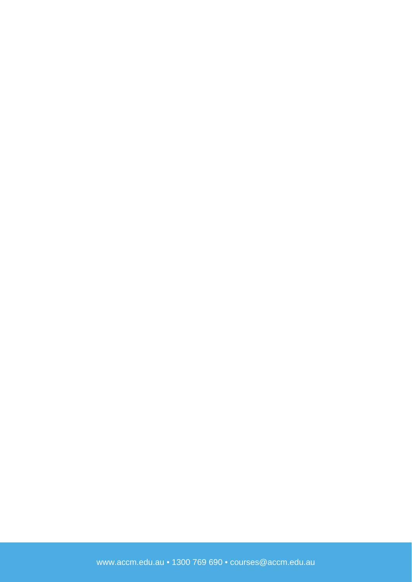www.accm.edu.au • 1300 769 690 • courses@accm.edu.au